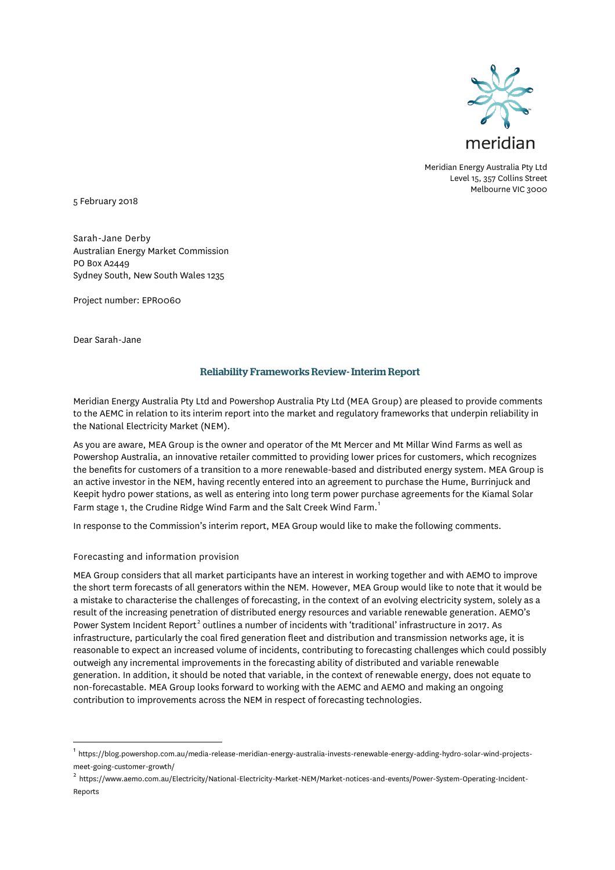

Meridian Energy Australia Pty Ltd Level 15, 357 Collins Street Melbourne VIC 3000

5 February 2018

Sarah-Jane Derby Australian Energy Market Commission PO Box A2449 Sydney South, New South Wales 1235

Project number: EPR0060

Dear Sarah-Jane

# Reliability Frameworks Review- Interim Report

Meridian Energy Australia Pty Ltd and Powershop Australia Pty Ltd (MEA Group) are pleased to provide comments to the AEMC in relation to its interim report into the market and regulatory frameworks that underpin reliability in the National Electricity Market (NEM).

As you are aware, MEA Group is the owner and operator of the Mt Mercer and Mt Millar Wind Farms as well as Powershop Australia, an innovative retailer committed to providing lower prices for customers, which recognizes the benefits for customers of a transition to a more renewable-based and distributed energy system. MEA Group is an active investor in the NEM, having recently entered into an agreement to purchase the Hume, Burrinjuck and Keepit hydro power stations, as well as entering into long term power purchase agreements for the Kiamal Solar Farm stage [1](#page-0-0), the Crudine Ridge Wind Farm and the Salt Creek Wind Farm.<sup>1</sup>

In response to the Commission's interim report, MEA Group would like to make the following comments.

### Forecasting and information provision

MEA Group considers that all market participants have an interest in working together and with AEMO to improve the short term forecasts of all generators within the NEM. However, MEA Group would like to note that it would be a mistake to characterise the challenges of forecasting, in the context of an evolving electricity system, solely as a result of the increasing penetration of distributed energy resources and variable renewable generation. AEMO's Power System Incident Report<sup>[2](#page-0-1)</sup> outlines a number of incidents with 'traditional' infrastructure in 2017. As infrastructure, particularly the coal fired generation fleet and distribution and transmission networks age, it is reasonable to expect an increased volume of incidents, contributing to forecasting challenges which could possibly outweigh any incremental improvements in the forecasting ability of distributed and variable renewable generation. In addition, it should be noted that variable, in the context of renewable energy, does not equate to non-forecastable. MEA Group looks forward to working with the AEMC and AEMO and making an ongoing contribution to improvements across the NEM in respect of forecasting technologies.

<span id="page-0-0"></span><sup>1</sup> https://blog.powershop.com.au/media-release-meridian-energy-australia-invests-renewable-energy-adding-hydro-solar-wind-projectsmeet-going-customer-growth/

<span id="page-0-1"></span> $^2$  https://www.aemo.com.au/Electricity/National-Electricity-Market-NEM/Market-notices-and-events/Power-System-Operating-Incident-Reports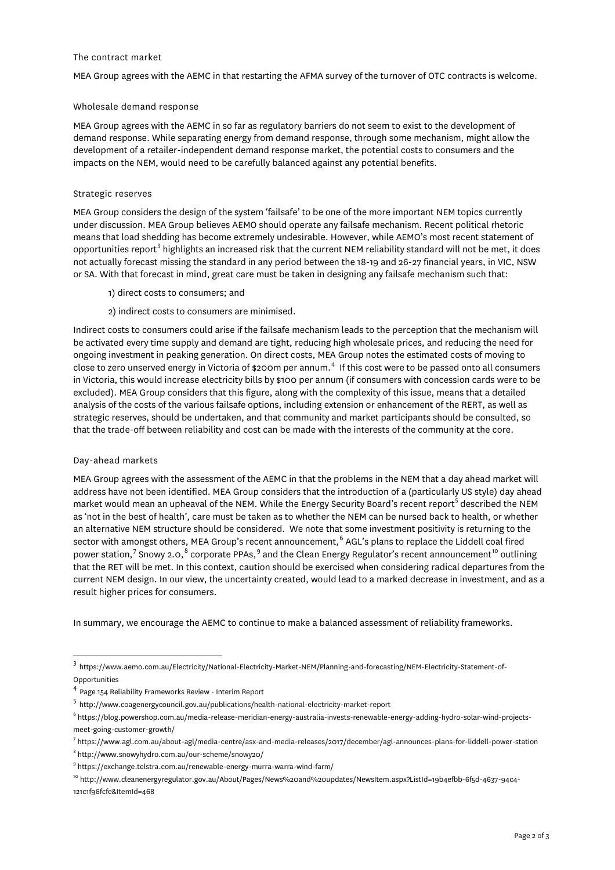### The contract market

MEA Group agrees with the AEMC in that restarting the AFMA survey of the turnover of OTC contracts is welcome.

# Wholesale demand response

MEA Group agrees with the AEMC in so far as regulatory barriers do not seem to exist to the development of demand response. While separating energy from demand response, through some mechanism, might allow the development of a retailer-independent demand response market, the potential costs to consumers and the impacts on the NEM, would need to be carefully balanced against any potential benefits.

# Strategic reserves

MEA Group considers the design of the system 'failsafe' to be one of the more important NEM topics currently under discussion. MEA Group believes AEMO should operate any failsafe mechanism. Recent political rhetoric means that load shedding has become extremely undesirable. However, while AEMO's most recent statement of opportunities report<sup>[3](#page-1-0)</sup> highlights an increased risk that the current NEM reliability standard will not be met, it does not actually forecast missing the standard in any period between the 18-19 and 26-27 financial years, in VIC, NSW or SA. With that forecast in mind, great care must be taken in designing any failsafe mechanism such that:

- 1) direct costs to consumers; and
- 2) indirect costs to consumers are minimised.

Indirect costs to consumers could arise if the failsafe mechanism leads to the perception that the mechanism will be activated every time supply and demand are tight, reducing high wholesale prices, and reducing the need for ongoing investment in peaking generation. On direct costs, MEA Group notes the estimated costs of moving to close to zero unserved energy in Victoria of \$200m per annum.<sup>[4](#page-1-1)</sup> If this cost were to be passed onto all consumers in Victoria, this would increase electricity bills by \$100 per annum (if consumers with concession cards were to be excluded). MEA Group considers that this figure, along with the complexity of this issue, means that a detailed analysis of the costs of the various failsafe options, including extension or enhancement of the RERT, as well as strategic reserves, should be undertaken, and that community and market participants should be consulted, so that the trade-off between reliability and cost can be made with the interests of the community at the core.

### Day-ahead markets

MEA Group agrees with the assessment of the AEMC in that the problems in the NEM that a day ahead market will address have not been identified. MEA Group considers that the introduction of a (particularly US style) day ahead market would mean an upheaval of the NEM. While the Energy Security Board's recent report<sup>[5](#page-1-2)</sup> described the NEM as 'not in the best of health', care must be taken as to whether the NEM can be nursed back to health, or whether an alternative NEM structure should be considered. We note that some investment positivity is returning to the sector with amongst others, MEA Group's recent announcement, [6](#page-1-3) AGL's plans to replace the Liddell coal fired power station,<sup>[7](#page-1-4)</sup> Snowy 2.0,<sup>[8](#page-1-5)</sup> corporate PPAs,<sup>[9](#page-1-6)</sup> and the Clean Energy Regulator's recent announcement<sup>[10](#page-1-7)</sup> outlining that the RET will be met. In this context, caution should be exercised when considering radical departures from the current NEM design. In our view, the uncertainty created, would lead to a marked decrease in investment, and as a result higher prices for consumers.

In summary, we encourage the AEMC to continue to make a balanced assessment of reliability frameworks.

<span id="page-1-0"></span><sup>3</sup> https://www.aemo.com.au/Electricity/National-Electricity-Market-NEM/Planning-and-forecasting/NEM-Electricity-Statement-of-Opportunities

<span id="page-1-1"></span><sup>4</sup> Page 154 Reliability Frameworks Review - Interim Report

<span id="page-1-2"></span><sup>5</sup> http://www.coagenergycouncil.gov.au/publications/health-national-electricity-market-report

<span id="page-1-3"></span><sup>6</sup> https://blog.powershop.com.au/media-release-meridian-energy-australia-invests-renewable-energy-adding-hydro-solar-wind-projectsmeet-going-customer-growth/

<span id="page-1-4"></span><sup>7</sup> https://www.agl.com.au/about-agl/media-centre/asx-and-media-releases/2017/december/agl-announces-plans-for-liddell-power-station

<span id="page-1-5"></span><sup>8</sup> http://www.snowyhydro.com.au/our-scheme/snowy20/

<span id="page-1-6"></span><sup>9</sup> https://exchange.telstra.com.au/renewable-energy-murra-warra-wind-farm/

<span id="page-1-7"></span><sup>10</sup> http://www.cleanenergyregulator.gov.au/About/Pages/News%20and%20updates/NewsItem.aspx?ListId=19b4efbb-6f5d-4637-94c4- 121c1f96fcfe&ItemId=468